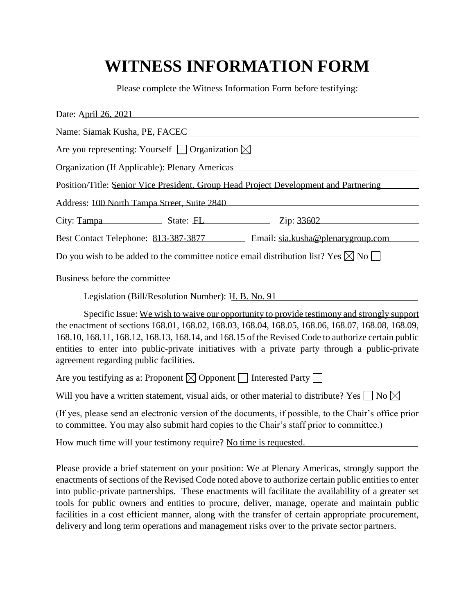## **WITNESS INFORMATION FORM**

Please complete the Witness Information Form before testifying:

| Date: April 26, 2021                                                                                                                                                                                                                                                                                                                                                                                                                               |  |                                                                                      |
|----------------------------------------------------------------------------------------------------------------------------------------------------------------------------------------------------------------------------------------------------------------------------------------------------------------------------------------------------------------------------------------------------------------------------------------------------|--|--------------------------------------------------------------------------------------|
| Name: Siamak Kusha, PE, FACEC                                                                                                                                                                                                                                                                                                                                                                                                                      |  |                                                                                      |
| Are you representing: Yourself $\Box$ Organization $\boxtimes$                                                                                                                                                                                                                                                                                                                                                                                     |  |                                                                                      |
| Organization (If Applicable): Plenary Americas                                                                                                                                                                                                                                                                                                                                                                                                     |  |                                                                                      |
|                                                                                                                                                                                                                                                                                                                                                                                                                                                    |  | Position/Title: Senior Vice President, Group Head Project Development and Partnering |
| Address: 100 North Tampa Street, Suite 2840                                                                                                                                                                                                                                                                                                                                                                                                        |  |                                                                                      |
| City: Tampa State: FL                                                                                                                                                                                                                                                                                                                                                                                                                              |  | Zip: 33602                                                                           |
|                                                                                                                                                                                                                                                                                                                                                                                                                                                    |  | Best Contact Telephone: 813-387-3877 Email: sia.kusha@plenarygroup.com               |
| Do you wish to be added to the committee notice email distribution list? Yes $\boxtimes$ No $\Box$                                                                                                                                                                                                                                                                                                                                                 |  |                                                                                      |
| Business before the committee                                                                                                                                                                                                                                                                                                                                                                                                                      |  |                                                                                      |
| Legislation (Bill/Resolution Number): H. B. No. 91                                                                                                                                                                                                                                                                                                                                                                                                 |  |                                                                                      |
| Specific Issue: We wish to waive our opportunity to provide testimony and strongly support<br>the enactment of sections 168.01, 168.02, 168.03, 168.04, 168.05, 168.06, 168.07, 168.08, 168.09,<br>168.10, 168.11, 168.12, 168.13, 168.14, and 168.15 of the Revised Code to authorize certain public<br>entities to enter into public-private initiatives with a private party through a public-private<br>agreement regarding public facilities. |  |                                                                                      |
| Are you testifying as a: Proponent $\boxtimes$ Opponent $\Box$ Interested Party $\Box$                                                                                                                                                                                                                                                                                                                                                             |  |                                                                                      |
| Will you have a written statement, visual aids, or other material to distribute? Yes $\Box$ No $\boxtimes$                                                                                                                                                                                                                                                                                                                                         |  |                                                                                      |
| (If yes, please send an electronic version of the documents, if possible, to the Chair's office prior<br>to committee. You may also submit hard copies to the Chair's staff prior to committee.)                                                                                                                                                                                                                                                   |  |                                                                                      |
| How much time will your testimony require? No time is requested.                                                                                                                                                                                                                                                                                                                                                                                   |  |                                                                                      |

Please provide a brief statement on your position: We at Plenary Americas, strongly support the enactments of sections of the Revised Code noted above to authorize certain public entities to enter into public-private partnerships. These enactments will facilitate the availability of a greater set tools for public owners and entities to procure, deliver, manage, operate and maintain public facilities in a cost efficient manner, along with the transfer of certain appropriate procurement, delivery and long term operations and management risks over to the private sector partners.